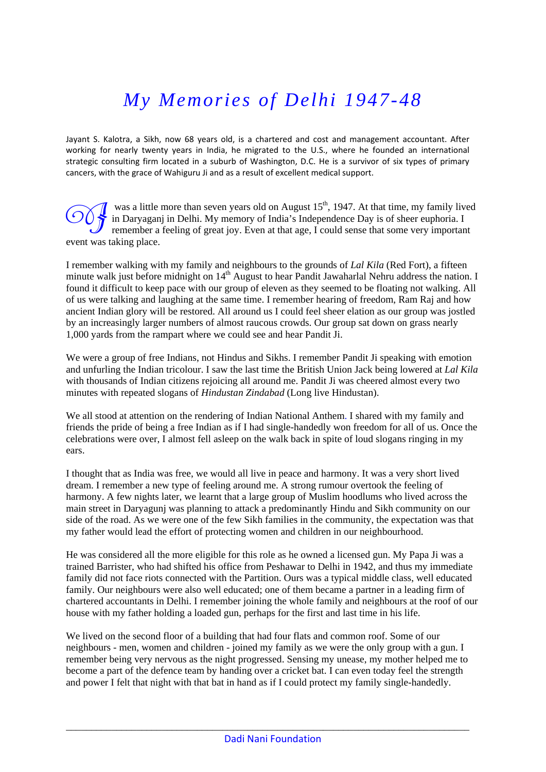## *My Memories of Delhi 1947-48*

Jayant S. Kalotra, a Sikh, now 68 years old, is a chartered and cost and management accountant. After working for nearly twenty years in India, he migrated to the U.S., where he founded an international strategic consulting firm located in a suburb of Washington, D.C. He is a survivor of six types of primary cancers, with the grace of Wahiguru Ji and as a result of excellent medical support.

was a little more than seven years old on August  $15<sup>th</sup>$ , 1947. At that time, my family lived in Daryaganj in Delhi. My memory of India's Independence Day is of sheer euphoria. I was a little more than seven years old on August  $15<sup>th</sup>$ , 1947. At that time, my family lived in Daryaganj in Delhi. My memory of India's Independence Day is of sheer euphoria. I remember a feeling of great joy. Even event was taking place.

I remember walking with my family and neighbours to the grounds of *Lal Kila* (Red Fort), a fifteen minute walk just before midnight on 14<sup>th</sup> August to hear Pandit Jawaharlal Nehru address the nation. I found it difficult to keep pace with our group of eleven as they seemed to be floating not walking. All of us were talking and laughing at the same time. I remember hearing of freedom, Ram Raj and how ancient Indian glory will be restored. All around us I could feel sheer elation as our group was jostled by an increasingly larger numbers of almost raucous crowds. Our group sat down on grass nearly 1,000 yards from the rampart where we could see and hear Pandit Ji.

We were a group of free Indians, not Hindus and Sikhs. I remember Pandit Ji speaking with emotion and unfurling the Indian tricolour. I saw the last time the British Union Jack being lowered at *Lal Kila* with thousands of Indian citizens rejoicing all around me. Pandit Ji was cheered almost every two minutes with repeated slogans of *Hindustan Zindabad* (Long live Hindustan).

We all stood at attention on the rendering of Indian National Anthem. I shared with my family and friends the pride of being a free Indian as if I had single-handedly won freedom for all of us. Once the celebrations were over, I almost fell asleep on the walk back in spite of loud slogans ringing in my ears.

I thought that as India was free, we would all live in peace and harmony. It was a very short lived dream. I remember a new type of feeling around me. A strong rumour overtook the feeling of harmony. A few nights later, we learnt that a large group of Muslim hoodlums who lived across the main street in Daryagunj was planning to attack a predominantly Hindu and Sikh community on our side of the road. As we were one of the few Sikh families in the community, the expectation was that my father would lead the effort of protecting women and children in our neighbourhood.

He was considered all the more eligible for this role as he owned a licensed gun. My Papa Ji was a trained Barrister, who had shifted his office from Peshawar to Delhi in 1942, and thus my immediate family did not face riots connected with the Partition. Ours was a typical middle class, well educated family. Our neighbours were also well educated; one of them became a partner in a leading firm of chartered accountants in Delhi. I remember joining the whole family and neighbours at the roof of our house with my father holding a loaded gun, perhaps for the first and last time in his life.

We lived on the second floor of a building that had four flats and common roof. Some of our neighbours - men, women and children - joined my family as we were the only group with a gun. I remember being very nervous as the night progressed. Sensing my unease, my mother helped me to become a part of the defence team by handing over a cricket bat. I can even today feel the strength and power I felt that night with that bat in hand as if I could protect my family single-handedly.